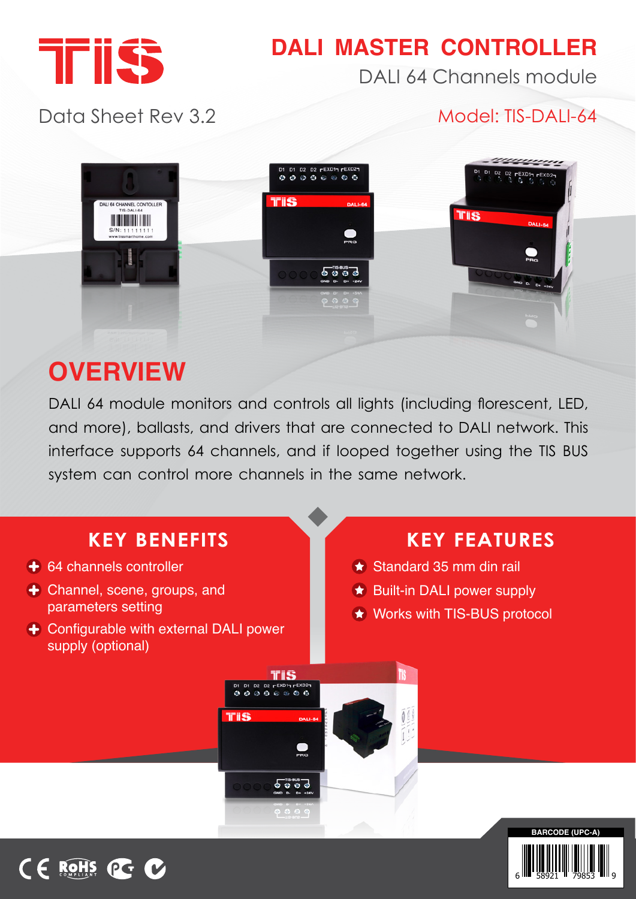

## **DALI MASTER CONTROLLER**

DALI 64 Channels module

#### Data Sheet Rev 3.2

#### Model: TIS-DALI-64



# **OVERVIEW**

CE ROHS OG

DALI 64 module monitors and controls all lights (including florescent, LED, and more), ballasts, and drivers that are connected to DALI network. This interface supports 64 channels, and if looped together using the TIS BUS system can control more channels in the same network.